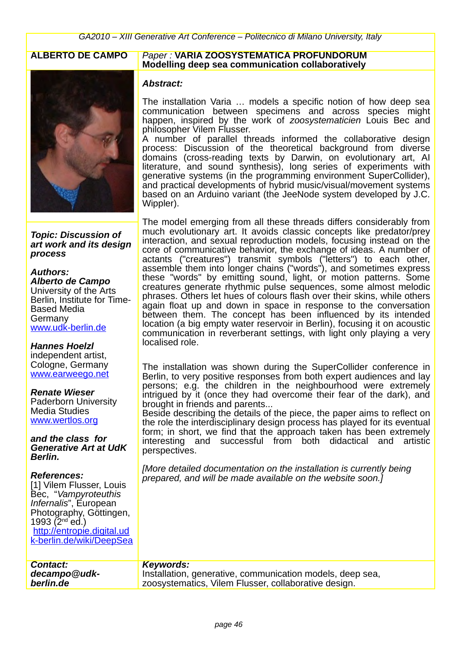

*Topic: Discussion of art work and its design process*

*Authors: Alberto de Campo* University of the Arts Berlin, Institute for Time-Based Media Germany [www.udk-berlin.de](http://www.udk-berlin.de/)

*Hannes Hoelzl* independent artist, Cologne, Germany [www.earweego.net](http://www.earweego.net/)

*Renate Wieser* Paderborn University Media Studies [www.wertlos.org](http://www.earweego.net/)

*and the class for Generative Art at UdK Berlin.*

#### *References:*

[1] Vilem Flusser, Louis Bec, "*Vampyroteuthis Infernalis*", European Photography, Göttingen, 1993  $(2<sup>nd</sup> ed.)$ [http://entropie.digital.ud](http://www.generativeart.com/) [k-berlin.de/wiki/DeepSea](http://www.generativeart.com/)

#### **ALBERTO DE CAMPO** *Paper :* **VARIA ZOOSYSTEMATICA PROFUNDORUM Modelling deep sea communication collaboratively**

#### *Abstract:*

The installation Varia … models a specific notion of how deep sea communication between specimens and across species might happen, inspired by the work of *zoosystematicien* Louis Bec and philosopher Vilem Flusser.

A number of parallel threads informed the collaborative design process: Discussion of the theoretical background from diverse domains (cross-reading texts by Darwin, on evolutionary art, AI literature, and sound synthesis), long series of experiments with generative systems (in the programming environment SuperCollider), and practical developments of hybrid music/visual/movement systems based on an Arduino variant (the JeeNode system developed by J.C. Wippler).

The model emerging from all these threads differs considerably from much evolutionary art. It avoids classic concepts like predator/prey interaction, and sexual reproduction models, focusing instead on the core of communicative behavior, the exchange of ideas. A number of actants ("creatures") transmit symbols ("letters") to each other, assemble them into longer chains ("words"), and sometimes express these "words" by emitting sound, light, or motion patterns. Some creatures generate rhythmic pulse sequences, some almost melodic phrases. Others let hues of colours flash over their skins, while others again float up and down in space in response to the conversation between them. The concept has been influenced by its intended location (a big empty water reservoir in Berlin), focusing it on acoustic communication in reverberant settings, with light only playing a very localised role.

The installation was shown during the SuperCollider conference in Berlin, to very positive responses from both expert audiences and lay persons; e.g. the children in the neighbourhood were extremely intrigued by it (once they had overcome their fear of the dark), and brought in friends and parents...

Beside describing the details of the piece, the paper aims to reflect on the role the interdisciplinary design process has played for its eventual form; in short, we find that the approach taken has been extremely interesting and successful from both didactical and artistic perspectives.

*[More detailed documentation on the installation is currently being prepared, and will be made available on the website soon.]*

| <b>Contact:</b> | Keywords:                                                 |
|-----------------|-----------------------------------------------------------|
| decampo@udk-    | Installation, generative, communication models, deep sea, |
| berlin.de       | zoosystematics, Vilem Flusser, collaborative design.      |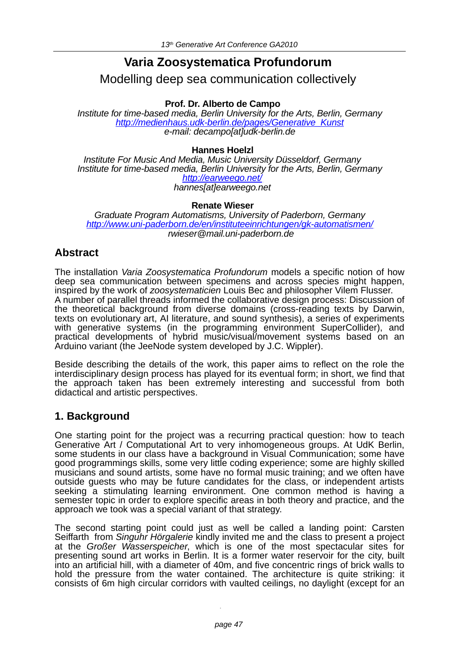# **Varia Zoosystematica Profundorum**

Modelling deep sea communication collectively

## **Prof. Dr. Alberto de Campo**

*Institute for time-based media, Berlin University for the Arts, Berlin, Germany [http://medienhaus.udk-berlin.de/pages/Generative\\_Kunst](http://medienhaus.udk-berlin.de/pages/Generative_Kunst) e-mail: decampo[at]udk-berlin.de*

#### **Hannes Hoelzl**

*Institute For Music And Media, Music University Düsseldorf, Germany Institute for time-based media, Berlin University for the Arts, Berlin, Germany <http://earweego.net/> hannes[at]earweego.net*

#### **Renate Wieser**

*Graduate Program Automatisms, University of Paderborn, Germany <http://www.uni-paderborn.de/en/instituteeinrichtungen/gk-automatismen/> rwieser@mail.uni-paderborn.de*

# **Abstract**

The installation *Varia Zoosystematica Profundorum* models a specific notion of how deep sea communication between specimens and across species might happen, inspired by the work of *zoosystematicien* Louis Bec and philosopher Vilem Flusser. A number of parallel threads informed the collaborative design process: Discussion of the theoretical background from diverse domains (cross-reading texts by Darwin, texts on evolutionary art, AI literature, and sound synthesis), a series of experiments with generative systems (in the programming environment SuperCollider), and practical developments of hybrid music/visual/movement systems based on an Arduino variant (the JeeNode system developed by J.C. Wippler).

Beside describing the details of the work, this paper aims to reflect on the role the interdisciplinary design process has played for its eventual form; in short, we find that the approach taken has been extremely interesting and successful from both didactical and artistic perspectives.

# **1. Background**

One starting point for the project was a recurring practical question: how to teach Generative Art / Computational Art to very inhomogeneous groups. At UdK Berlin, some students in our class have a background in Visual Communication; some have good programmings skills, some very little coding experience; some are highly skilled musicians and sound artists, some have no formal music training; and we often have outside guests who may be future candidates for the class, or independent artists seeking a stimulating learning environment. One common method is having a semester topic in order to explore specific areas in both theory and practice, and the approach we took was a special variant of that strategy.

The second starting point could just as well be called a landing point: Carsten Seiffarth from *Singuhr Hörgalerie* kindly invited me and the class to present a project at the *Großer Wasserspeicher*, which is one of the most spectacular sites for presenting sound art works in Berlin. It is a former water reservoir for the city, built into an artificial hill, with a diameter of 40m, and five concentric rings of brick walls to hold the pressure from the water contained. The architecture is quite striking: it consists of 6m high circular corridors with vaulted ceilings, no daylight (except for an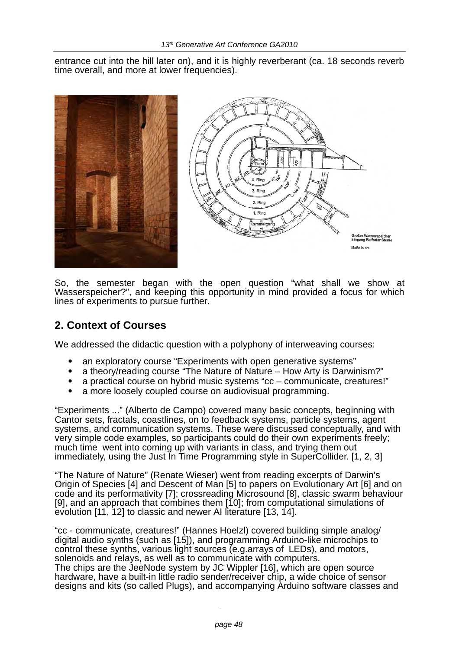entrance cut into the hill later on), and it is highly reverberant (ca. 18 seconds reverb time overall, and more at lower frequencies).





So, the semester began with the open question "what shall we show at Wasserspeicher?", and keeping this opportunity in mind provided a focus for which lines of experiments to pursue further.

# **2. Context of Courses**

We addressed the didactic question with a polyphony of interweaving courses:

- an exploratory course "Experiments with open generative systems"
- a theory/reading course "The Nature of Nature How Arty is Darwinism?"
- a practical course on hybrid music systems "cc communicate, creatures!"
- a more loosely coupled course on audiovisual programming.

"Experiments ..." (Alberto de Campo) covered many basic concepts, beginning with Cantor sets, fractals, coastlines, on to feedback systems, particle systems, agent systems, and communication systems. These were discussed conceptually, and with very simple code examples, so participants could do their own experiments freely; much time went into coming up with variants in class, and trying them out immediately, using the Just In Time Programming style in SuperCollider. [1, 2, 3]

"The Nature of Nature" (Renate Wieser) went from reading excerpts of Darwin's Origin of Species [4] and Descent of Man [5] to papers on Evolutionary Art [6] and on code and its performativity [7]; crossreading Microsound [8], classic swarm behaviour [9], and an approach that combines them [10]; from computational simulations of evolution [11, 12] to classic and newer AI literature [13, 14].

"cc - communicate, creatures!" (Hannes Hoelzl) covered building simple analog/ digital audio synths (such as [15]), and programming Arduino-like microchips to control these synths, various light sources (e.g.arrays of LEDs), and motors, solenoids and relays, as well as to communicate with computers. The chips are the JeeNode system by JC Wippler [16], which are open source hardware, have a built-in little radio sender/receiver chip, a wide choice of sensor designs and kits (so called Plugs), and accompanying Arduino software classes and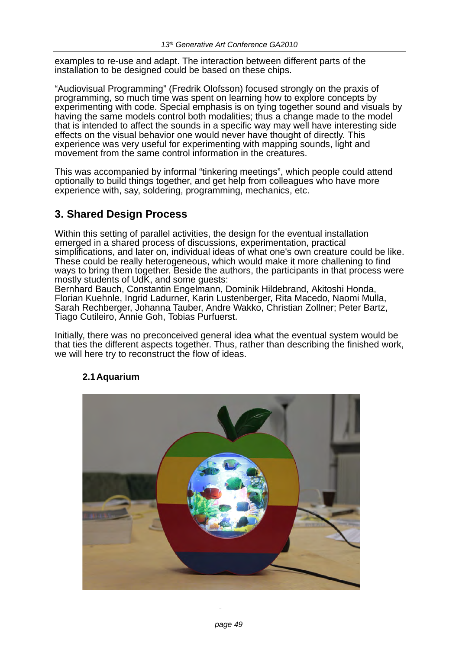examples to re-use and adapt. The interaction between different parts of the installation to be designed could be based on these chips.

"Audiovisual Programming" (Fredrik Olofsson) focused strongly on the praxis of programming, so much time was spent on learning how to explore concepts by experimenting with code. Special emphasis is on tying together sound and visuals by having the same models control both modalities; thus a change made to the model that is intended to affect the sounds in a specific way may well have interesting side effects on the visual behavior one would never have thought of directly. This experience was very useful for experimenting with mapping sounds, light and movement from the same control information in the creatures.

This was accompanied by informal "tinkering meetings", which people could attend optionally to build things together, and get help from colleagues who have more experience with, say, soldering, programming, mechanics, etc.

# **3. Shared Design Process**

Within this setting of parallel activities, the design for the eventual installation emerged in a shared process of discussions, experimentation, practical simplifications, and later on, individual ideas of what one's own creature could be like. These could be really heterogeneous, which would make it more challening to find ways to bring them together. Beside the authors, the participants in that process were mostly students of UdK, and some guests:

Bernhard Bauch, Constantin Engelmann, Dominik Hildebrand, Akitoshi Honda, Florian Kuehnle, Ingrid Ladurner, Karin Lustenberger, Rita Macedo, Naomi Mulla, Sarah Rechberger, Johanna Tauber, Andre Wakko, Christian Zollner; Peter Bartz, Tiago Cutileiro, Annie Goh, Tobias Purfuerst.

Initially, there was no preconceived general idea what the eventual system would be that ties the different aspects together. Thus, rather than describing the finished work, we will here try to reconstruct the flow of ideas.



# **2.1Aquarium**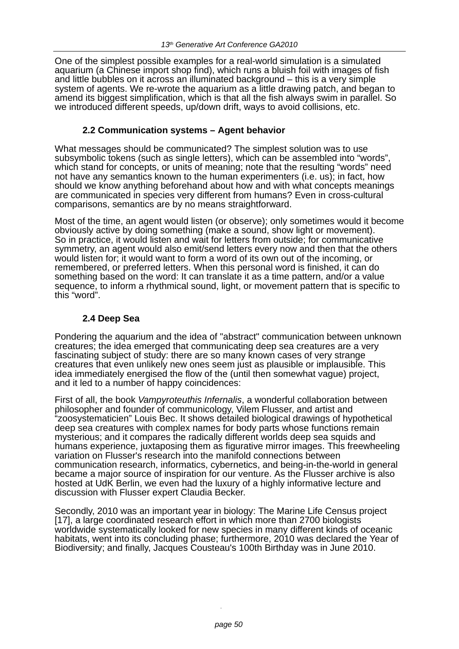One of the simplest possible examples for a real-world simulation is a simulated aquarium (a Chinese import shop find), which runs a bluish foil with images of fish and little bubbles on it across an illuminated background – this is a very simple system of agents. We re-wrote the aquarium as a little drawing patch, and began to amend its biggest simplification, which is that all the fish always swim in parallel. So we introduced different speeds, up/down drift, ways to avoid collisions, etc.

## **2.2 Communication systems – Agent behavior**

What messages should be communicated? The simplest solution was to use subsymbolic tokens (such as single letters), which can be assembled into "words", which stand for concepts, or units of meaning; note that the resulting "words" need not have any semantics known to the human experimenters (i.e. us); in fact, how should we know anything beforehand about how and with what concepts meanings are communicated in species very different from humans? Even in cross-cultural comparisons, semantics are by no means straightforward.

Most of the time, an agent would listen (or observe); only sometimes would it become obviously active by doing something (make a sound, show light or movement). So in practice, it would listen and wait for letters from outside; for communicative symmetry, an agent would also emit/send letters every now and then that the others would listen for; it would want to form a word of its own out of the incoming, or remembered, or preferred letters. When this personal word is finished, it can do something based on the word: It can translate it as a time pattern, and/or a value sequence, to inform a rhythmical sound, light, or movement pattern that is specific to this "word".

## **2.4 Deep Sea**

Pondering the aquarium and the idea of "abstract" communication between unknown creatures; the idea emerged that communicating deep sea creatures are a very fascinating subject of study: there are so many known cases of very strange creatures that even unlikely new ones seem just as plausible or implausible. This idea immediately energised the flow of the (until then somewhat vague) project, and it led to a number of happy coincidences:

First of all, the book *Vampyroteuthis Infernalis*, a wonderful collaboration between philosopher and founder of communicology, Vilem Flusser, and artist and "zoosystematicien" Louis Bec. It shows detailed biological drawings of hypothetical deep sea creatures with complex names for body parts whose functions remain mysterious; and it compares the radically different worlds deep sea squids and humans experience, juxtaposing them as figurative mirror images. This freewheeling variation on Flusser's research into the manifold connections between communication research, informatics, cybernetics, and being-in-the-world in general became a major source of inspiration for our venture. As the Flusser archive is also hosted at UdK Berlin, we even had the luxury of a highly informative lecture and discussion with Flusser expert Claudia Becker.

Secondly, 2010 was an important year in biology: The Marine Life Census project [17], a large coordinated research effort in which more than 2700 biologists worldwide systematically looked for new species in many different kinds of oceanic habitats, went into its concluding phase; furthermore, 2010 was declared the Year of Biodiversity; and finally, Jacques Cousteau's 100th Birthday was in June 2010.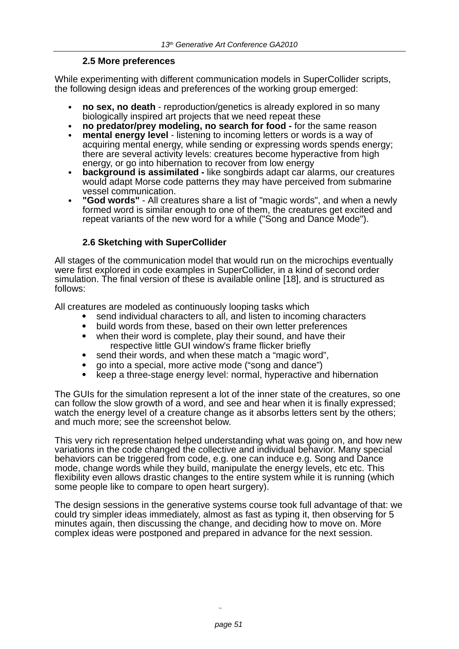#### **2.5 More preferences**

While experimenting with different communication models in SuperCollider scripts, the following design ideas and preferences of the working group emerged:

- **no sex, no death**  reproduction/genetics is already explored in so many biologically inspired art projects that we need repeat these
- **no predator/prey modeling, no search for food** for the same reason
- **mental energy level** listening to incoming letters or words is a way of acquiring mental energy, while sending or expressing words spends energy; there are several activity levels: creatures become hyperactive from high energy, or go into hibernation to recover from low energy
- **background is assimilated -** like songbirds adapt car alarms, our creatures would adapt Morse code patterns they may have perceived from submarine vessel communication.
- **"God words"** All creatures share a list of "magic words", and when a newly formed word is similar enough to one of them, the creatures get excited and repeat variants of the new word for a while ("Song and Dance Mode").

## **2.6 Sketching with SuperCollider**

All stages of the communication model that would run on the microchips eventually were first explored in code examples in SuperCollider, in a kind of second order simulation. The final version of these is available online [18], and is structured as follows:

All creatures are modeled as continuously looping tasks which

- send individual characters to all, and listen to incoming characters
- build words from these, based on their own letter preferences
- when their word is complete, play their sound, and have their respective little GUI window's frame flicker briefly
- send their words, and when these match a "magic word",
- ao into a special, more active mode ("song and dance")
- keep a three-stage energy level: normal, hyperactive and hibernation

The GUIs for the simulation represent a lot of the inner state of the creatures, so one can follow the slow growth of a word, and see and hear when it is finally expressed; watch the energy level of a creature change as it absorbs letters sent by the others; and much more; see the screenshot below.

This very rich representation helped understanding what was going on, and how new variations in the code changed the collective and individual behavior. Many special behaviors can be triggered from code, e.g. one can induce e.g. Song and Dance mode, change words while they build, manipulate the energy levels, etc etc. This flexibility even allows drastic changes to the entire system while it is running (which some people like to compare to open heart surgery).

The design sessions in the generative systems course took full advantage of that: we could try simpler ideas immediately, almost as fast as typing it, then observing for 5 minutes again, then discussing the change, and deciding how to move on. More complex ideas were postponed and prepared in advance for the next session.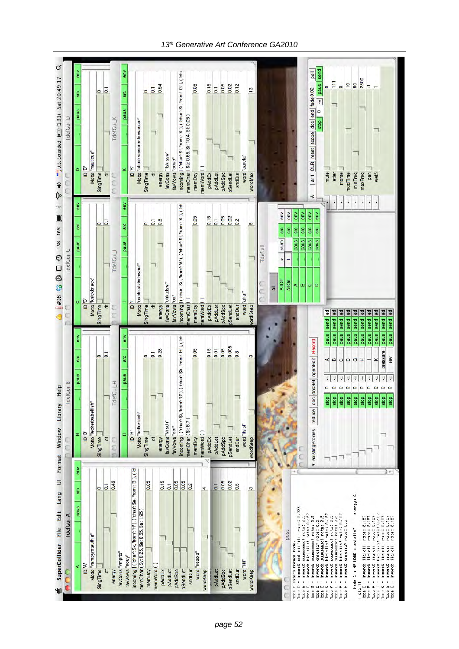

#### *13th Generative Art Conference GA2010*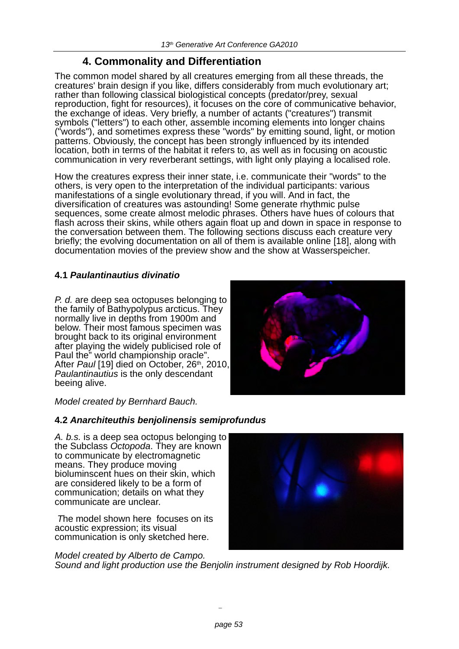# **4. Commonality and Differentiation**

The common model shared by all creatures emerging from all these threads, the creatures' brain design if you like, differs considerably from much evolutionary art; rather than following classical biologistical concepts (predator/prey, sexual reproduction, fight for resources), it focuses on the core of communicative behavior, the exchange of ideas. Very briefly, a number of actants ("creatures") transmit symbols ("letters") to each other, assemble incoming elements into longer chains ("words"), and sometimes express these "words" by emitting sound, light, or motion patterns. Obviously, the concept has been strongly influenced by its intended location, both in terms of the habitat it refers to, as well as in focusing on acoustic communication in very reverberant settings, with light only playing a localised role.

How the creatures express their inner state, i.e. communicate their "words" to the others, is very open to the interpretation of the individual participants: various manifestations of a single evolutionary thread, if you will. And in fact, the diversification of creatures was astounding! Some generate rhythmic pulse sequences, some create almost melodic phrases. Others have hues of colours that flash across their skins, while others again float up and down in space in response to the conversation between them. The following sections discuss each creature very briefly; the evolving documentation on all of them is available online [18], along with documentation movies of the preview show and the show at Wasserspeicher.

# **4.1** *Paulantinautius divinatio*

*P. d.* are deep sea octopuses belonging to the family of Bathypolypus arcticus. They normally live in depths from 1900m and below. Their most famous specimen was brought back to its original environment after playing the widely publicised role of Paul the" world championship oracle". After *Paul* [19] died on October, 26<sup>th</sup>, 2010, *Paulantinautius* is the only descendant beeing alive.



# *Model created by Bernhard Bauch.*

## **4.2** *Anarchiteuthis benjolinensis semiprofundus*

*A. b.s.* is a deep sea octopus belonging to the Subclass *Octopoda*. They are known to communicate by electromagnetic means. They produce moving bioluminscent hues on their skin, which are considered likely to be a form of communication; details on what they communicate are unclear.

*T*he model shown here focuses on its acoustic expression; its visual communication is only sketched here.



*Model created by Alberto de Campo. Sound and light production use the Benjolin instrument designed by Rob Hoordijk.*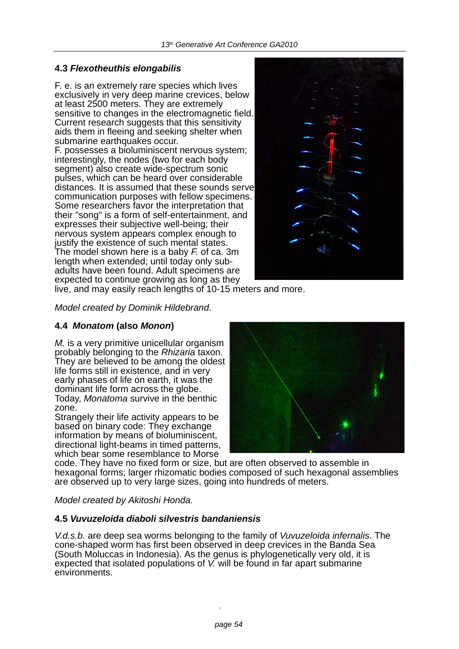# **4.3** *Flexotheuthis elongabilis*

F. e. is an extremely rare species which lives exclusively in very deep marine crevices, below at least 2500 meters. They are extremely sensitive to changes in the electromagnetic field. Current research suggests that this sensitivity aids them in fleeing and seeking shelter when submarine earthquakes occur.

F. possesses a bioluminiscent nervous system; interestingly, the nodes (two for each body segment) also create wide-spectrum sonic pulses, which can be heard over considerable distances. It is assumed that these sounds serve communication purposes with fellow specimens. Some researchers favor the interpretation that their "song" is a form of self-entertainment, and expresses their subjective well-being; their nervous system appears complex enough to justify the existence of such mental states. The model shown here is a baby *F.* of ca. 3m length when extended; until today only subadults have been found. Adult specimens are expected to continue growing as long as they



live, and may easily reach lengths of 10-15 meters and more.

*Model created by Dominik Hildebrand.*

# **4.4** *Monatom* **(also** *Monon***)**

*M.* is a very primitive unicellular organism probably belonging to the *Rhizaria* taxon. They are believed to be among the oldest life forms still in existence, and in very early phases of life on earth, it was the dominant life form across the globe. Today, *Monatoma* survive in the benthic zone.

Strangely their life activity appears to be based on binary code: They exchange information by means of bioluminiscent, directional light-beams in timed patterns, which bear some resemblance to Morse



code. They have no fixed form or size, but are often observed to assemble in hexagonal forms; larger rhizomatic bodies composed of such hexagonal assemblies are observed up to very large sizes, going into hundreds of meters.

*Model created by Akitoshi Honda.*

## **4.5** *Vuvuzeloida diaboli silvestris bandaniensis*

*V.d.s.b.* are deep sea worms belonging to the family of *Vuvuzeloida infernalis*. The cone-shaped worm has first been observed in deep crevices in the Banda Sea (South Moluccas in Indonesia). As the genus is phylogenetically very old, it is expected that isolated populations of *V.* will be found in far apart submarine environments.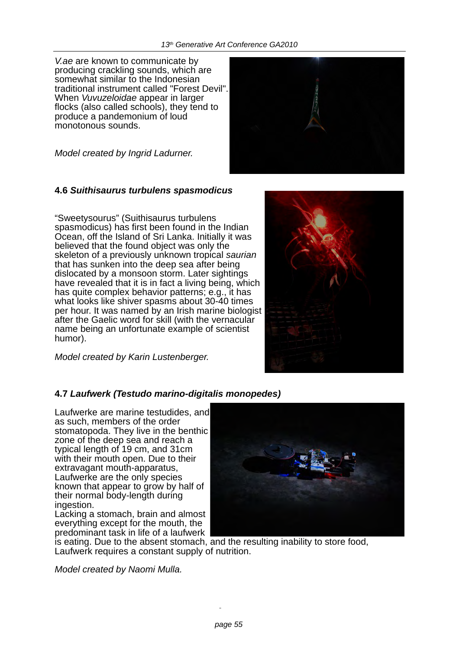*V.ae* are known to communicate by producing crackling sounds, which are somewhat similar to the Indonesian traditional instrument called "Forest Devil". When *Vuvuzeloidae* appear in larger flocks (also called schools), they tend to produce a pandemonium of loud monotonous sounds.



*Model created by Ingrid Ladurner.* 

#### **4.6** *Suithisaurus turbulens spasmodicus*

"Sweetysourus" (Suithisaurus turbulens spasmodicus) has first been found in the Indian Ocean, off the Island of Sri Lanka. Initially it was believed that the found object was only the skeleton of a previously unknown tropical *saurian*  that has sunken into the deep sea after being dislocated by a monsoon storm. Later sightings have revealed that it is in fact a living being, which has quite complex behavior patterns; e.g., it has what looks like shiver spasms about 30-40 times per hour. It was named by an Irish marine biologist after the Gaelic word for skill (with the vernacular name being an unfortunate example of scientist humor).

*Model created by Karin Lustenberger.*



## **4.7** *Laufwerk (Testudo marino-digitalis monopedes)*

Laufwerke are marine testudides, and as such, members of the order stomatopoda. They live in the benthic zone of the deep sea and reach a typical length of 19 cm, and 31cm with their mouth open. Due to their extravagant mouth-apparatus, Laufwerke are the only species known that appear to grow by half of their normal body-length during ingestion.

Lacking a stomach, brain and almost everything except for the mouth, the predominant task in life of a laufwerk



is eating. Due to the absent stomach, and the resulting inability to store food, Laufwerk requires a constant supply of nutrition.

*Model created by Naomi Mulla.*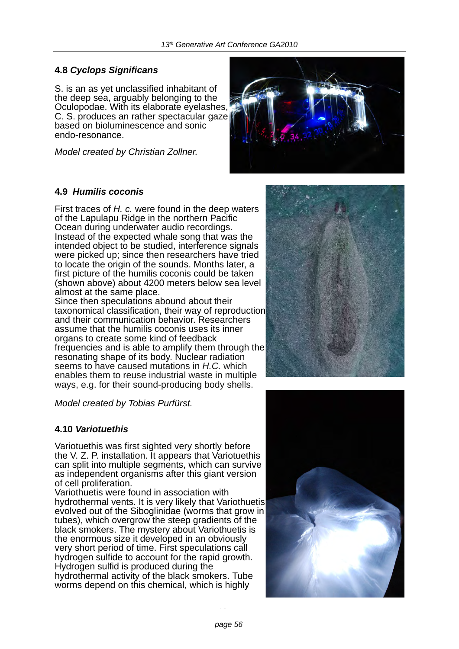## **4.8** *Cyclops Significans*

S. is an as yet unclassified inhabitant of the deep sea, arguably belonging to the Oculopodae. With its elaborate eyelashes, C. S. produces an rather spectacular gaze based on bioluminescence and sonic endo-resonance.

*Model created by Christian Zollner.*



## **4.9** *Humilis coconis*

First traces of *H. c.* were found in the deep waters of the Lapulapu Ridge in the northern Pacific Ocean during underwater audio recordings. Instead of the expected whale song that was the intended object to be studied, interference signals were picked up; since then researchers have tried to locate the origin of the sounds. Months later, a first picture of the humilis coconis could be taken (shown above) about 4200 meters below sea level almost at the same place.

Since then speculations abound about their taxonomical classification, their way of reproduction and their communication behavior. Researchers assume that the humilis coconis uses its inner organs to create some kind of feedback frequencies and is able to amplify them through the resonating shape of its body. Nuclear radiation seems to have caused mutations in *H.C.* which enables them to reuse industrial waste in multiple ways, e.g. for their sound-producing body shells.

*Model created by Tobias Purfürst.*

## **4.10** *Variotuethis*

Variotuethis was first sighted very shortly before the V. Z. P. installation. It appears that Variotuethis can split into multiple segments, which can survive as independent organisms after this giant version of cell proliferation.

Variothuetis were found in association with hydrothermal vents. It is very likely that Variothuetis evolved out of the Siboglinidae (worms that grow in tubes), which overgrow the steep gradients of the black smokers. The mystery about Variothuetis is the enormous size it developed in an obviously very short period of time. First speculations call hydrogen sulfide to account for the rapid growth. Hydrogen sulfid is produced during the hydrothermal activity of the black smokers. Tube worms depend on this chemical, which is highly



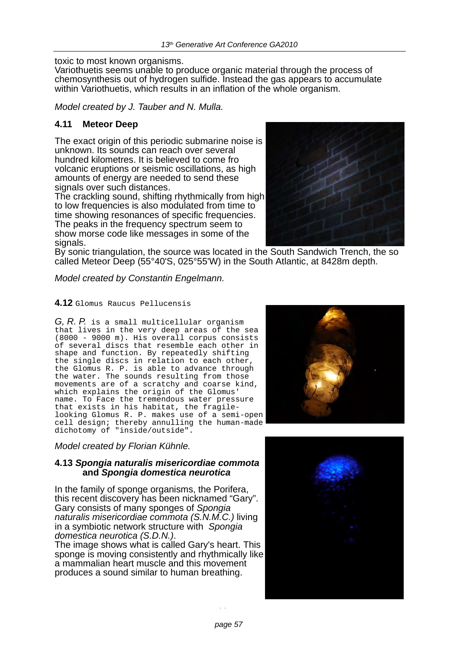#### toxic to most known organisms.

Variothuetis seems unable to produce organic material through the process of chemosynthesis out of hydrogen sulfide. Instead the gas appears to accumulate within Variothuetis, which results in an inflation of the whole organism.

*Model created by J. Tauber and N. Mulla.*

# **4.11 Meteor Deep**

The exact origin of this periodic submarine noise is unknown. Its sounds can reach over several hundred kilometres. It is believed to come fro volcanic eruptions or seismic oscillations, as high amounts of energy are needed to send these signals over such distances.

The crackling sound, shifting rhythmically from high to low frequencies is also modulated from time to time showing resonances of specific frequencies. The peaks in the frequency spectrum seem to show morse code like messages in some of the signals.



By sonic triangulation, the source was located in the South Sandwich Trench, the so called Meteor Deep (55°40'S, 025°55'W) in the South Atlantic, at 8428m depth.

*Model created by Constantin Engelmann.*

#### **4.12** Glomus Raucus Pellucensis

*G, R. P.* is a small multicellular organism that lives in the very deep areas of the sea (8000 - 9000 m). His overall corpus consists of several discs that resemble each other in shape and function. By repeatedly shifting the single discs in relation to each other, the Glomus R. P. is able to advance through the water. The sounds resulting from those movements are of a scratchy and coarse kind, which explains the origin of the Glomus' name. To Face the tremendous water pressure that exists in his habitat, the fragilelooking Glomus R. P. makes use of a semi-open cell design; thereby annulling the human-made dichotomy of "inside/outside".

*Model created by Florian Kühnle.* 

#### **4.13** *Spongia naturalis misericordiae commota*  **and** *Spongia domestica neurotica*

In the family of sponge organisms, the Porifera, this recent discovery has been nicknamed "Gary". Gary consists of many sponges of *Spongia naturalis misericordiae commota (S.N.M.C.)* living in a symbiotic network structure with *Spongia domestica neurotica (S.D.N.)*.

The image shows what is called Gary's heart. This sponge is moving consistently and rhythmically like a mammalian heart muscle and this movement produces a sound similar to human breathing.



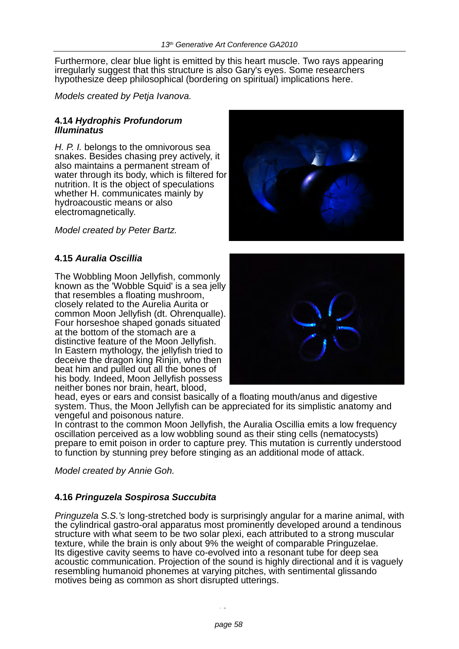Furthermore, clear blue light is emitted by this heart muscle. Two rays appearing irregularly suggest that this structure is also Gary's eyes. Some researchers hypothesize deep philosophical (bordering on spiritual) implications here.

*Models created by Petja Ivanova.*

#### **4.14** *Hydrophis Profundorum Illuminatus*

*H. P. I.* belongs to the omnivorous sea snakes. Besides chasing prey actively, it also maintains a permanent stream of water through its body, which is filtered for nutrition. It is the object of speculations whether H. communicates mainly by hydroacoustic means or also electromagnetically.

*Model created by Peter Bartz.*

## **4.15** *Auralia Oscillia*

The Wobbling Moon Jellyfish, commonly known as the 'Wobble Squid' is a sea jelly that resembles a floating mushroom, closely related to the Aurelia Aurita or common Moon Jellyfish (dt. Ohrenqualle). Four horseshoe shaped gonads situated at the bottom of the stomach are a distinctive feature of the Moon Jellyfish. In Eastern mythology, the jellyfish tried to deceive the dragon king Rinjin, who then beat him and pulled out all the bones of his body. Indeed, Moon Jellyfish possess neither bones nor brain, heart, blood,





head, eyes or ears and consist basically of a floating mouth/anus and digestive system. Thus, the Moon Jellyfish can be appreciated for its simplistic anatomy and vengeful and poisonous nature.

In contrast to the common Moon Jellyfish, the Auralia Oscillia emits a low frequency oscillation perceived as a low wobbling sound as their sting cells (nematocysts) prepare to emit poison in order to capture prey. This mutation is currently understood to function by stunning prey before stinging as an additional mode of attack.

*Model created by Annie Goh.*

## **4.16** *Pringuzela Sospirosa Succubita*

*Pringuzela S.S.'s* long-stretched body is surprisingly angular for a marine animal, with the cylindrical gastro-oral apparatus most prominently developed around a tendinous structure with what seem to be two solar plexi, each attributed to a strong muscular texture, while the brain is only about 9% the weight of comparable Pringuzelae. Its digestive cavity seems to have co-evolved into a resonant tube for deep sea acoustic communication. Projection of the sound is highly directional and it is vaguely resembling humanoid phonemes at varying pitches, with sentimental glissando motives being as common as short disrupted utterings.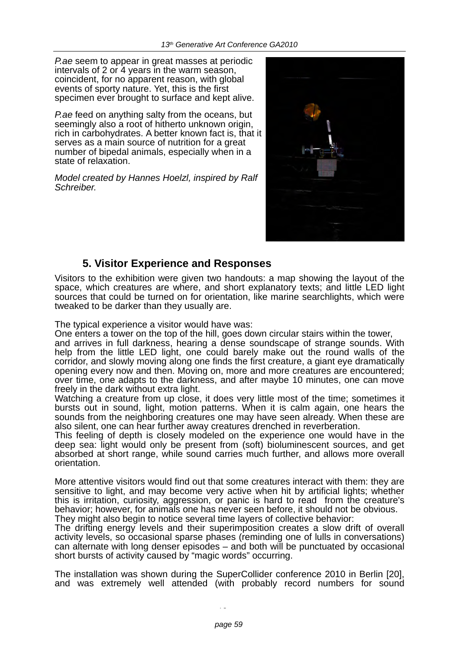*P.ae* seem to appear in great masses at periodic intervals of 2 or 4 years in the warm season, coincident, for no apparent reason, with global events of sporty nature. Yet, this is the first specimen ever brought to surface and kept alive.

*P.ae* feed on anything salty from the oceans, but seemingly also a root of hitherto unknown origin, rich in carbohydrates. A better known fact is, that it serves as a main source of nutrition for a great number of bipedal animals, especially when in a state of relaxation.

*Model created by Hannes Hoelzl, inspired by Ralf Schreiber.*



# **5. Visitor Experience and Responses**

Visitors to the exhibition were given two handouts: a map showing the layout of the space, which creatures are where, and short explanatory texts; and little LED light sources that could be turned on for orientation, like marine searchlights, which were tweaked to be darker than they usually are.

The typical experience a visitor would have was:

One enters a tower on the top of the hill, goes down circular stairs within the tower,

and arrives in full darkness, hearing a dense soundscape of strange sounds. With help from the little LED light, one could barely make out the round walls of the corridor, and slowly moving along one finds the first creature, a giant eye dramatically opening every now and then. Moving on, more and more creatures are encountered; over time, one adapts to the darkness, and after maybe 10 minutes, one can move freely in the dark without extra light.

Watching a creature from up close, it does very little most of the time; sometimes it bursts out in sound, light, motion patterns. When it is calm again, one hears the sounds from the neighboring creatures one may have seen already. When these are also silent, one can hear further away creatures drenched in reverberation.

This feeling of depth is closely modeled on the experience one would have in the deep sea: light would only be present from (soft) bioluminescent sources, and get absorbed at short range, while sound carries much further, and allows more overall orientation.

More attentive visitors would find out that some creatures interact with them: they are sensitive to light, and may become very active when hit by artificial lights; whether this is irritation, curiosity, aggression, or panic is hard to read from the creature's behavior; however, for animals one has never seen before, it should not be obvious. They might also begin to notice several time layers of collective behavior:

The drifting energy levels and their superimposition creates a slow drift of overall activity levels, so occasional sparse phases (reminding one of lulls in conversations) can alternate with long denser episodes – and both will be punctuated by occasional short bursts of activity caused by "magic words" occurring.

The installation was shown during the SuperCollider conference 2010 in Berlin [20], and was extremely well attended (with probably record numbers for sound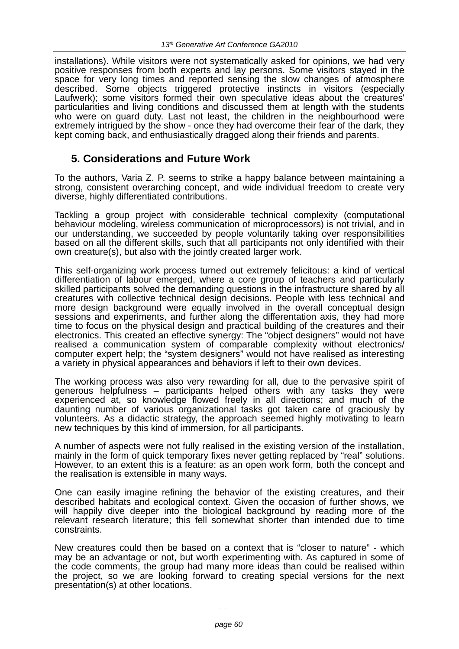installations). While visitors were not systematically asked for opinions, we had very positive responses from both experts and lay persons. Some visitors stayed in the space for very long times and reported sensing the slow changes of atmosphere described. Some objects triggered protective instincts in visitors (especially Laufwerk); some visitors formed their own speculative ideas about the creatures' particularities and living conditions and discussed them at length with the students who were on guard duty. Last not least, the children in the neighbourhood were extremely intrigued by the show - once they had overcome their fear of the dark, they kept coming back, and enthusiastically dragged along their friends and parents.

# **5. Considerations and Future Work**

To the authors, Varia Z. P. seems to strike a happy balance between maintaining a strong, consistent overarching concept, and wide individual freedom to create very diverse, highly differentiated contributions.

Tackling a group project with considerable technical complexity (computational behaviour modeling, wireless communication of microprocessors) is not trivial, and in our understanding, we succeeded by people voluntarily taking over responsibilities based on all the different skills, such that all participants not only identified with their own creature(s), but also with the jointly created larger work.

This self-organizing work process turned out extremely felicitous: a kind of vertical differentiation of labour emerged, where a core group of teachers and particularly skilled participants solved the demanding questions in the infrastructure shared by all creatures with collective technical design decisions. People with less technical and more design background were equally involved in the overall conceptual design sessions and experiments, and further along the differentation axis, they had more time to focus on the physical design and practical building of the creatures and their electronics. This created an effective synergy: The "object designers" would not have realised a communication system of comparable complexity without electronics/ computer expert help; the "system designers" would not have realised as interesting a variety in physical appearances and behaviors if left to their own devices.

The working process was also very rewarding for all, due to the pervasive spirit of generous helpfulness – participants helped others with any tasks they were experienced at, so knowledge flowed freely in all directions; and much of the daunting number of various organizational tasks got taken care of graciously by volunteers. As a didactic strategy, the approach seemed highly motivating to learn new techniques by this kind of immersion, for all participants.

A number of aspects were not fully realised in the existing version of the installation, mainly in the form of quick temporary fixes never getting replaced by "real" solutions. However, to an extent this is a feature: as an open work form, both the concept and the realisation is extensible in many ways.

One can easily imagine refining the behavior of the existing creatures, and their described habitats and ecological context. Given the occasion of further shows, we will happily dive deeper into the biological background by reading more of the relevant research literature; this fell somewhat shorter than intended due to time constraints.

New creatures could then be based on a context that is "closer to nature" - which may be an advantage or not, but worth experimenting with. As captured in some of the code comments, the group had many more ideas than could be realised within the project, so we are looking forward to creating special versions for the next presentation(s) at other locations.